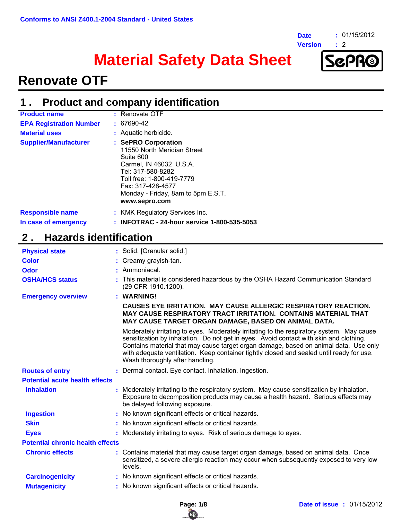**Date**

**Version :**

**:** 01/15/2012

 $\therefore$  2

# **Material Safety Data Sheet**



### **Renovate OTF**

#### **Product and company identification 1 .**

| <b>Product name</b>            | $:$ Renovate OTF                                                                                                                                                                                                         |
|--------------------------------|--------------------------------------------------------------------------------------------------------------------------------------------------------------------------------------------------------------------------|
| <b>EPA Registration Number</b> | $: 67690 - 42$                                                                                                                                                                                                           |
| <b>Material uses</b>           | : Aquatic herbicide.                                                                                                                                                                                                     |
| <b>Supplier/Manufacturer</b>   | : SePRO Corporation<br>11550 North Meridian Street<br>Suite 600<br>Carmel, IN 46032 U.S.A.<br>Tel: 317-580-8282<br>Toll free: 1-800-419-7779<br>Fax: 317-428-4577<br>Monday - Friday, 8am to 5pm E.S.T.<br>www.sepro.com |
| <b>Responsible name</b>        | : KMK Regulatory Services Inc.                                                                                                                                                                                           |
| In case of emergency           | : INFOTRAC - 24-hour service 1-800-535-5053                                                                                                                                                                              |

### **2 . Hazards identification**

| <b>Physical state</b>                   | : Solid. [Granular solid.]                                                                                                                                                                                                                                                                                                                                                                                 |
|-----------------------------------------|------------------------------------------------------------------------------------------------------------------------------------------------------------------------------------------------------------------------------------------------------------------------------------------------------------------------------------------------------------------------------------------------------------|
| <b>Color</b>                            | : Creamy grayish-tan.                                                                                                                                                                                                                                                                                                                                                                                      |
| Odor                                    | : Ammoniacal.                                                                                                                                                                                                                                                                                                                                                                                              |
| <b>OSHA/HCS status</b>                  | This material is considered hazardous by the OSHA Hazard Communication Standard<br>(29 CFR 1910.1200).                                                                                                                                                                                                                                                                                                     |
| <b>Emergency overview</b>               | : WARNING!                                                                                                                                                                                                                                                                                                                                                                                                 |
|                                         | <b>CAUSES EYE IRRITATION. MAY CAUSE ALLERGIC RESPIRATORY REACTION.</b><br><b>MAY CAUSE RESPIRATORY TRACT IRRITATION. CONTAINS MATERIAL THAT</b><br>MAY CAUSE TARGET ORGAN DAMAGE, BASED ON ANIMAL DATA.                                                                                                                                                                                                    |
|                                         | Moderately irritating to eyes. Moderately irritating to the respiratory system. May cause<br>sensitization by inhalation. Do not get in eyes. Avoid contact with skin and clothing.<br>Contains material that may cause target organ damage, based on animal data. Use only<br>with adequate ventilation. Keep container tightly closed and sealed until ready for use.<br>Wash thoroughly after handling. |
| <b>Routes of entry</b>                  | : Dermal contact. Eye contact. Inhalation. Ingestion.                                                                                                                                                                                                                                                                                                                                                      |
| <b>Potential acute health effects</b>   |                                                                                                                                                                                                                                                                                                                                                                                                            |
| <b>Inhalation</b>                       | Moderately irritating to the respiratory system. May cause sensitization by inhalation.<br>Exposure to decomposition products may cause a health hazard. Serious effects may<br>be delayed following exposure.                                                                                                                                                                                             |
| <b>Ingestion</b>                        | : No known significant effects or critical hazards.                                                                                                                                                                                                                                                                                                                                                        |
| <b>Skin</b>                             | : No known significant effects or critical hazards.                                                                                                                                                                                                                                                                                                                                                        |
| <b>Eyes</b>                             | Moderately irritating to eyes. Risk of serious damage to eyes.                                                                                                                                                                                                                                                                                                                                             |
| <b>Potential chronic health effects</b> |                                                                                                                                                                                                                                                                                                                                                                                                            |
| <b>Chronic effects</b>                  | : Contains material that may cause target organ damage, based on animal data. Once<br>sensitized, a severe allergic reaction may occur when subsequently exposed to very low<br>levels.                                                                                                                                                                                                                    |
| <b>Carcinogenicity</b>                  | : No known significant effects or critical hazards.                                                                                                                                                                                                                                                                                                                                                        |
| <b>Mutagenicity</b>                     | : No known significant effects or critical hazards.                                                                                                                                                                                                                                                                                                                                                        |

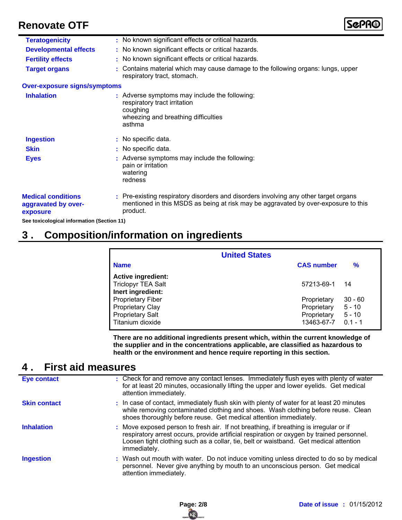| <b>Teratogenicity</b>                                        | : No known significant effects or critical hazards.                                                                                                                                    |
|--------------------------------------------------------------|----------------------------------------------------------------------------------------------------------------------------------------------------------------------------------------|
| <b>Developmental effects</b>                                 | : No known significant effects or critical hazards.                                                                                                                                    |
| <b>Fertility effects</b>                                     | : No known significant effects or critical hazards.                                                                                                                                    |
| <b>Target organs</b>                                         | Contains material which may cause damage to the following organs: lungs, upper<br>respiratory tract, stomach.                                                                          |
| <b>Over-exposure signs/symptoms</b>                          |                                                                                                                                                                                        |
| <b>Inhalation</b>                                            | : Adverse symptoms may include the following:<br>respiratory tract irritation<br>coughing<br>wheezing and breathing difficulties<br>asthma                                             |
| <b>Ingestion</b>                                             | : No specific data.                                                                                                                                                                    |
| <b>Skin</b>                                                  | : No specific data.                                                                                                                                                                    |
| <b>Eyes</b>                                                  | Adverse symptoms may include the following:<br>pain or irritation<br>watering<br>redness                                                                                               |
| <b>Medical conditions</b><br>aggravated by over-<br>exposure | : Pre-existing respiratory disorders and disorders involving any other target organs<br>mentioned in this MSDS as being at risk may be aggravated by over-exposure to this<br>product. |
| .                                                            |                                                                                                                                                                                        |

**See toxicological information (Section 11)**

### **3 . Composition/information on ingredients**

| <b>United States</b>                                                                               |                                                         |                                                |  |  |
|----------------------------------------------------------------------------------------------------|---------------------------------------------------------|------------------------------------------------|--|--|
| <b>Name</b>                                                                                        | <b>CAS number</b>                                       | %                                              |  |  |
| <b>Active ingredient:</b><br><b>Triclopyr TEA Salt</b><br>Inert ingredient:                        | 57213-69-1                                              | 14                                             |  |  |
| <b>Proprietary Fiber</b><br><b>Proprietary Clay</b><br><b>Proprietary Salt</b><br>Titanium dioxide | Proprietary<br>Proprietary<br>Proprietary<br>13463-67-7 | $30 - 60$<br>$5 - 10$<br>$5 - 10$<br>$0.1 - 1$ |  |  |

**There are no additional ingredients present which, within the current knowledge of the supplier and in the concentrations applicable, are classified as hazardous to health or the environment and hence require reporting in this section.**

### **4 . First aid measures**

| Eye contact         | : Check for and remove any contact lenses. Immediately flush eyes with plenty of water<br>for at least 20 minutes, occasionally lifting the upper and lower eyelids. Get medical<br>attention immediately.                                                                                  |
|---------------------|---------------------------------------------------------------------------------------------------------------------------------------------------------------------------------------------------------------------------------------------------------------------------------------------|
| <b>Skin contact</b> | : In case of contact, immediately flush skin with plenty of water for at least 20 minutes<br>while removing contaminated clothing and shoes. Wash clothing before reuse. Clean<br>shoes thoroughly before reuse. Get medical attention immediately.                                         |
| <b>Inhalation</b>   | : Move exposed person to fresh air. If not breathing, if breathing is irregular or if<br>respiratory arrest occurs, provide artificial respiration or oxygen by trained personnel.<br>Loosen tight clothing such as a collar, tie, belt or waistband. Get medical attention<br>immediately. |
| <b>Ingestion</b>    | : Wash out mouth with water. Do not induce vomiting unless directed to do so by medical<br>personnel. Never give anything by mouth to an unconscious person. Get medical<br>attention immediately.                                                                                          |

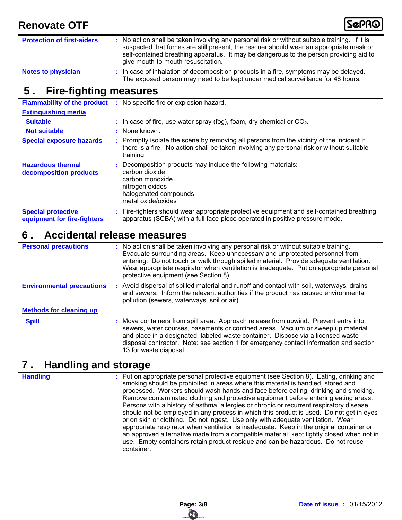

| <b>Protection of first-aiders</b> | : No action shall be taken involving any personal risk or without suitable training. If it is<br>suspected that fumes are still present, the rescuer should wear an appropriate mask or<br>self-contained breathing apparatus. It may be dangerous to the person providing aid to<br>give mouth-to-mouth resuscitation. |
|-----------------------------------|-------------------------------------------------------------------------------------------------------------------------------------------------------------------------------------------------------------------------------------------------------------------------------------------------------------------------|
| <b>Notes to physician</b>         | : In case of inhalation of decomposition products in a fire, symptoms may be delayed.<br>The exposed person may need to be kept under medical surveillance for 48 hours.                                                                                                                                                |

### **5 . Fire-fighting measures**

| <b>Flammability of the product</b>                       | : No specific fire or explosion hazard.                                                                                                                                                             |  |
|----------------------------------------------------------|-----------------------------------------------------------------------------------------------------------------------------------------------------------------------------------------------------|--|
| <b>Extinguishing media</b>                               |                                                                                                                                                                                                     |  |
| <b>Suitable</b>                                          | $\therefore$ In case of fire, use water spray (fog), foam, dry chemical or CO <sub>2</sub> .                                                                                                        |  |
| <b>Not suitable</b>                                      | : None known.                                                                                                                                                                                       |  |
| <b>Special exposure hazards</b>                          | : Promptly isolate the scene by removing all persons from the vicinity of the incident if<br>there is a fire. No action shall be taken involving any personal risk or without suitable<br>training. |  |
| <b>Hazardous thermal</b><br>decomposition products       | : Decomposition products may include the following materials:<br>carbon dioxide<br>carbon monoxide<br>nitrogen oxides<br>halogenated compounds<br>metal oxide/oxides                                |  |
| <b>Special protective</b><br>equipment for fire-fighters | : Fire-fighters should wear appropriate protective equipment and self-contained breathing<br>apparatus (SCBA) with a full face-piece operated in positive pressure mode.                            |  |

### **6 . Accidental release measures**

| <b>Personal precautions</b>      | : No action shall be taken involving any personal risk or without suitable training.<br>Evacuate surrounding areas. Keep unnecessary and unprotected personnel from<br>entering. Do not touch or walk through spilled material. Provide adequate ventilation.<br>Wear appropriate respirator when ventilation is inadequate. Put on appropriate personal<br>protective equipment (see Section 8). |
|----------------------------------|---------------------------------------------------------------------------------------------------------------------------------------------------------------------------------------------------------------------------------------------------------------------------------------------------------------------------------------------------------------------------------------------------|
| <b>Environmental precautions</b> | : Avoid dispersal of spilled material and runoff and contact with soil, waterways, drains<br>and sewers. Inform the relevant authorities if the product has caused environmental<br>pollution (sewers, waterways, soil or air).                                                                                                                                                                   |
| <b>Methods for cleaning up</b>   |                                                                                                                                                                                                                                                                                                                                                                                                   |
| <b>Spill</b>                     | : Move containers from spill area. Approach release from upwind. Prevent entry into<br>sewers, water courses, basements or confined areas. Vacuum or sweep up material<br>and place in a designated, labeled waste container. Dispose via a licensed waste<br>disposal contractor. Note: see section 1 for emergency contact information and section<br>13 for waste disposal.                    |

### **7 . Handling and storage**

**Handling :**

: Put on appropriate personal protective equipment (see Section 8). Eating, drinking and smoking should be prohibited in areas where this material is handled, stored and processed. Workers should wash hands and face before eating, drinking and smoking. Remove contaminated clothing and protective equipment before entering eating areas. Persons with a history of asthma, allergies or chronic or recurrent respiratory disease should not be employed in any process in which this product is used. Do not get in eyes or on skin or clothing. Do not ingest. Use only with adequate ventilation. Wear appropriate respirator when ventilation is inadequate. Keep in the original container or an approved alternative made from a compatible material, kept tightly closed when not in use. Empty containers retain product residue and can be hazardous. Do not reuse container.

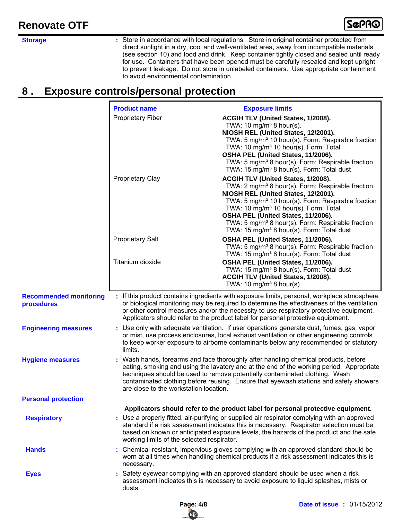

**Storage :**

Store in accordance with local regulations. Store in original container protected from direct sunlight in a dry, cool and well-ventilated area, away from incompatible materials (see section 10) and food and drink. Keep container tightly closed and sealed until ready for use. Containers that have been opened must be carefully resealed and kept upright to prevent leakage. Do not store in unlabeled containers. Use appropriate containment to avoid environmental contamination.

### **8 . Exposure controls/personal protection**

|                                             | <b>Product name</b>                        | <b>Exposure limits</b>                                                                                                                                                                                                                                                                                                                                                                                                            |
|---------------------------------------------|--------------------------------------------|-----------------------------------------------------------------------------------------------------------------------------------------------------------------------------------------------------------------------------------------------------------------------------------------------------------------------------------------------------------------------------------------------------------------------------------|
|                                             | <b>Proprietary Fiber</b>                   | ACGIH TLV (United States, 1/2008).<br>TWA: 10 mg/m <sup>3</sup> 8 hour(s).<br>NIOSH REL (United States, 12/2001).<br>TWA: 5 mg/m <sup>3</sup> 10 hour(s). Form: Respirable fraction<br>TWA: 10 mg/m <sup>3</sup> 10 hour(s). Form: Total<br>OSHA PEL (United States, 11/2006).<br>TWA: 5 mg/m <sup>3</sup> 8 hour(s). Form: Respirable fraction<br>TWA: 15 mg/m <sup>3</sup> 8 hour(s). Form: Total dust                          |
|                                             | Proprietary Clay                           | ACGIH TLV (United States, 1/2008).<br>TWA: 2 mg/m <sup>3</sup> 8 hour(s). Form: Respirable fraction<br>NIOSH REL (United States, 12/2001).<br>TWA: 5 mg/m <sup>3</sup> 10 hour(s). Form: Respirable fraction<br>TWA: 10 mg/m <sup>3</sup> 10 hour(s). Form: Total<br>OSHA PEL (United States, 11/2006).<br>TWA: 5 mg/m <sup>3</sup> 8 hour(s). Form: Respirable fraction<br>TWA: 15 mg/m <sup>3</sup> 8 hour(s). Form: Total dust |
|                                             | <b>Proprietary Salt</b>                    | OSHA PEL (United States, 11/2006).<br>TWA: 5 mg/m <sup>3</sup> 8 hour(s). Form: Respirable fraction<br>TWA: 15 mg/m <sup>3</sup> 8 hour(s). Form: Total dust                                                                                                                                                                                                                                                                      |
|                                             | Titanium dioxide                           | OSHA PEL (United States, 11/2006).<br>TWA: 15 mg/m <sup>3</sup> 8 hour(s). Form: Total dust<br>ACGIH TLV (United States, 1/2008).<br>TWA: 10 mg/m <sup>3</sup> 8 hour(s).                                                                                                                                                                                                                                                         |
| <b>Recommended monitoring</b><br>procedures |                                            | : If this product contains ingredients with exposure limits, personal, workplace atmosphere<br>or biological monitoring may be required to determine the effectiveness of the ventilation<br>or other control measures and/or the necessity to use respiratory protective equipment.<br>Applicators should refer to the product label for personal protective equipment.                                                          |
| <b>Engineering measures</b>                 | limits.                                    | : Use only with adequate ventilation. If user operations generate dust, fumes, gas, vapor<br>or mist, use process enclosures, local exhaust ventilation or other engineering controls<br>to keep worker exposure to airborne contaminants below any recommended or statutory                                                                                                                                                      |
| <b>Hygiene measures</b>                     | are close to the workstation location.     | : Wash hands, forearms and face thoroughly after handling chemical products, before<br>eating, smoking and using the lavatory and at the end of the working period. Appropriate<br>techniques should be used to remove potentially contaminated clothing. Wash<br>contaminated clothing before reusing. Ensure that eyewash stations and safety showers                                                                           |
| <b>Personal protection</b>                  |                                            |                                                                                                                                                                                                                                                                                                                                                                                                                                   |
| <b>Respiratory</b>                          | working limits of the selected respirator. | Applicators should refer to the product label for personal protective equipment.<br>: Use a properly fitted, air-purifying or supplied air respirator complying with an approved<br>standard if a risk assessment indicates this is necessary. Respirator selection must be<br>based on known or anticipated exposure levels, the hazards of the product and the safe                                                             |
| <b>Hands</b>                                | necessary.                                 | : Chemical-resistant, impervious gloves complying with an approved standard should be<br>worn at all times when handling chemical products if a risk assessment indicates this is                                                                                                                                                                                                                                                 |
| <b>Eyes</b>                                 | dusts.                                     | Safety eyewear complying with an approved standard should be used when a risk<br>assessment indicates this is necessary to avoid exposure to liquid splashes, mists or                                                                                                                                                                                                                                                            |

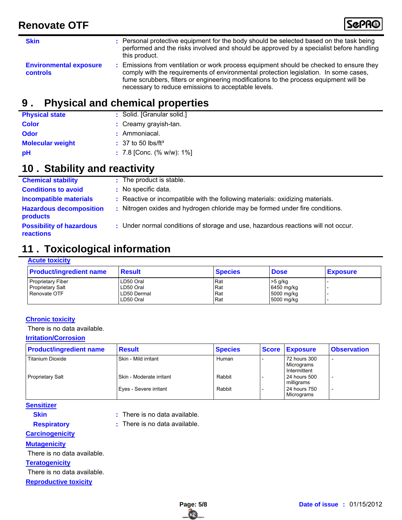| <b>Skin</b>                                      | : Personal protective equipment for the body should be selected based on the task being<br>performed and the risks involved and should be approved by a specialist before handling<br>this product.                                                                                                                           |
|--------------------------------------------------|-------------------------------------------------------------------------------------------------------------------------------------------------------------------------------------------------------------------------------------------------------------------------------------------------------------------------------|
| <b>Environmental exposure</b><br><b>controls</b> | Emissions from ventilation or work process equipment should be checked to ensure they<br>comply with the requirements of environmental protection legislation. In some cases,<br>fume scrubbers, filters or engineering modifications to the process equipment will be<br>necessary to reduce emissions to acceptable levels. |

### **9 . Physical and chemical properties**

| <b>Physical state</b>   | : Solid. [Granular solid.]         |
|-------------------------|------------------------------------|
| <b>Color</b>            | : Creamy grayish-tan.              |
| <b>Odor</b>             | : Ammoniacal.                      |
| <b>Molecular weight</b> | $\pm$ 37 to 50 lbs/ft <sup>3</sup> |
| pH                      | : 7.8 [Conc. (% w/w): $1\%$ ]      |

## **10 . Stability and reactivity**

| <b>Chemical stability</b>                         | : The product is stable.                                                          |
|---------------------------------------------------|-----------------------------------------------------------------------------------|
| <b>Conditions to avoid</b>                        | : No specific data.                                                               |
| <b>Incompatible materials</b>                     | : Reactive or incompatible with the following materials: oxidizing materials.     |
| <b>Hazardous decomposition</b><br><b>products</b> | : Nitrogen oxides and hydrogen chloride may be formed under fire conditions.      |
| <b>Possibility of hazardous</b><br>reactions      | : Under normal conditions of storage and use, hazardous reactions will not occur. |

### **11 . Toxicological information**

#### **Acute toxicity**

| <b>Product/ingredient name</b>                                      | Result                                                     | <b>Species</b>           | <b>Dose</b>                                         | <b>Exposure</b> |
|---------------------------------------------------------------------|------------------------------------------------------------|--------------------------|-----------------------------------------------------|-----------------|
| <b>Proprietary Fiber</b><br><b>Proprietary Salt</b><br>Renovate OTF | LD50 Oral<br>LD50 Oral<br><b>ILD50 Dermal</b><br>LD50 Oral | Rat<br>Rat<br>Rat<br>Rat | $>5$ g/kg<br>6450 mg/kg<br>5000 mg/kg<br>5000 mg/kg |                 |

### **Chronic toxicity**

There is no data available.

#### **Irritation/Corrosion**

| <b>Product/ingredient name</b> | <b>Result</b>              | <b>Species</b> | <b>Score</b> | <b>Exposure</b>                            | <b>Observation</b> |
|--------------------------------|----------------------------|----------------|--------------|--------------------------------------------|--------------------|
| Titanium Dioxide               | Skin - Mild irritant       | Human          |              | 72 hours 300<br>Micrograms<br>Intermittent |                    |
| <b>Proprietary Salt</b>        | I Skin - Moderate irritant | Rabbit         |              | 24 hours 500<br>milligrams                 |                    |
|                                | Eyes - Severe irritant     | Rabbit         |              | 24 hours 750<br>Micrograms                 |                    |

#### **Sensitizer**

**Skin**

- **:** There is no data available.
- **Respiratory**
- **:** There is no data available.

#### **Carcinogenicity**

**Mutagenicity**

There is no data available.

#### **Teratogenicity**

**Reproductive toxicity** There is no data available. \el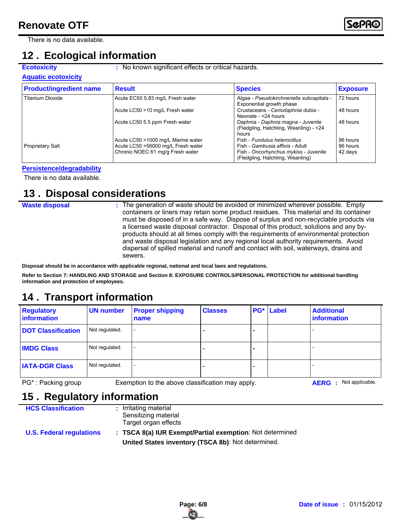There is no data available.

### **12 . Ecological information**

**Ecotoxicity** : No known significant effects or critical hazards.

#### **Aquatic ecotoxicity**

| <b>Product/ingredient name</b> | <b>Result</b>                                                            | <b>Species</b>                                                                         | <b>Exposure</b>      |
|--------------------------------|--------------------------------------------------------------------------|----------------------------------------------------------------------------------------|----------------------|
| <b>Titanium Dioxide</b>        | Acute EC50 5.83 mg/L Fresh water                                         | Algae - Pseudokirchneriella subcapitata -<br>Exponential growth phase                  | 72 hours             |
|                                | Acute LC50 >10 mg/L Fresh water                                          | Crustaceans - Ceriodaphnia dubia -<br>Neonate - <24 hours                              | 48 hours             |
|                                | Acute LC50 5.5 ppm Fresh water                                           | Daphnia - Daphnia magna - Juvenile<br>(Fledgling, Hatchling, Weanling) - < 24<br>hours | 48 hours             |
| <b>Proprietary Salt</b>        | Acute LC50 >1000 mg/L Marine water<br>Acute LC50 >56000 mg/L Fresh water | Fish - Fundulus heteroclitus<br>Fish - Gambusia affinis - Adult                        | 96 hours<br>96 hours |
|                                | Chronic NOEC 61 mg/g Fresh water                                         | Fish - Oncorhynchus mykiss - Juvenile<br>(Fledgling, Hatchling, Weanling)              | 42 days              |

#### **Persistence/degradability**

There is no data available.

### **13 . Disposal considerations**

**Waste disposal**

The generation of waste should be avoided or minimized wherever possible. Empty **:** containers or liners may retain some product residues. This material and its container must be disposed of in a safe way. Dispose of surplus and non-recyclable products via a licensed waste disposal contractor. Disposal of this product, solutions and any byproducts should at all times comply with the requirements of environmental protection and waste disposal legislation and any regional local authority requirements. Avoid dispersal of spilled material and runoff and contact with soil, waterways, drains and sewers.

**Disposal should be in accordance with applicable regional, national and local laws and regulations.**

**Refer to Section 7: HANDLING AND STORAGE and Section 8: EXPOSURE CONTROLS/PERSONAL PROTECTION for additional handling information and protection of employees.**

### **14 . Transport information**

| <b>Regulatory</b><br>information | <b>UN number</b> | <b>Proper shipping</b><br>name | <b>Classes</b> | PG* | Label | <b>Additional</b><br><b>information</b> |
|----------------------------------|------------------|--------------------------------|----------------|-----|-------|-----------------------------------------|
| <b>DOT Classification</b>        | Not regulated.   |                                |                |     |       |                                         |
| <b>IMDG Class</b>                | Not regulated.   |                                |                |     |       |                                         |
| <b>IATA-DGR Class</b>            | Not regulated.   |                                |                |     |       |                                         |

PG<sup>\*</sup>: Packing group Exemption to the above classification may apply. **AERG** : Not applicable.

### **15 . Regulatory information**

| <b>HCS Classification</b>       | : Irritating material                                    |
|---------------------------------|----------------------------------------------------------|
|                                 | Sensitizing material                                     |
|                                 | Target organ effects                                     |
| <b>U.S. Federal regulations</b> | : TSCA 8(a) IUR Exempt/Partial exemption: Not determined |
|                                 | United States inventory (TSCA 8b): Not determined.       |

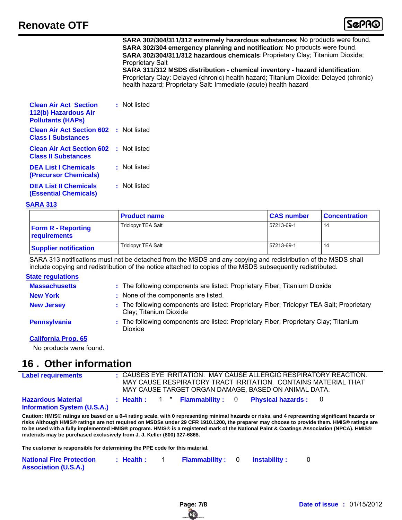

#### **SARA 302/304/311/312 extremely hazardous substances**: No products were found. **SARA 302/304 emergency planning and notification**: No products were found. **SARA 302/304/311/312 hazardous chemicals**: Proprietary Clay; Titanium Dioxide; Proprietary Salt

**SARA 311/312 MSDS distribution - chemical inventory - hazard identification**: Proprietary Clay: Delayed (chronic) health hazard; Titanium Dioxide: Delayed (chronic) health hazard; Proprietary Salt: Immediate (acute) health hazard

| <b>Clean Air Act Section</b><br>112(b) Hazardous Air<br><b>Pollutants (HAPs)</b> | : Not listed |
|----------------------------------------------------------------------------------|--------------|
| <b>Clean Air Act Section 602 : Not listed</b><br><b>Class I Substances</b>       |              |
| <b>Clean Air Act Section 602</b> : Not listed<br><b>Class II Substances</b>      |              |
| <b>DEA List I Chemicals</b><br>(Precursor Chemicals)                             | : Not listed |
| <b>DEA List II Chemicals</b><br><b>(Essential Chemicals)</b>                     | : Not listed |

#### **SARA 313**

|                                           | <b>Product name</b> | <b>CAS number</b> | <b>Concentration</b> |
|-------------------------------------------|---------------------|-------------------|----------------------|
| <b>Form R - Reporting</b><br>requirements | Triclopyr TEA Salt  | 57213-69-1        | 14                   |
| <b>Supplier notification</b>              | Triclopyr TEA Salt  | 57213-69-1        | 14                   |

SARA 313 notifications must not be detached from the MSDS and any copying and redistribution of the MSDS shall include copying and redistribution of the notice attached to copies of the MSDS subsequently redistributed.

#### **State regulations**

| <b>Massachusetts</b> | : The following components are listed: Proprietary Fiber; Titanium Dioxide                                          |
|----------------------|---------------------------------------------------------------------------------------------------------------------|
| <b>New York</b>      | : None of the components are listed.                                                                                |
| <b>New Jersey</b>    | : The following components are listed: Proprietary Fiber; Triclopyr TEA Salt; Proprietary<br>Clay; Titanium Dioxide |
| Pennsylvania         | : The following components are listed: Proprietary Fiber; Proprietary Clay; Titanium<br>Dioxide                     |
| California Draw CE   |                                                                                                                     |

#### **California Prop. 65**

No products were found.

### **16 . Other information**

| <b>Label requirements</b>                                       |  |  |  | MAY CAUSE TARGET ORGAN DAMAGE. BASED ON ANIMAL DATA. | : CAUSES EYE IRRITATION. MAY CAUSE ALLERGIC RESPIRATORY REACTION.<br>MAY CAUSE RESPIRATORY TRACT IRRITATION. CONTAINS MATERIAL THAT |  |
|-----------------------------------------------------------------|--|--|--|------------------------------------------------------|-------------------------------------------------------------------------------------------------------------------------------------|--|
| <b>Hazardous Material</b><br><b>Information System (U.S.A.)</b> |  |  |  | : Health: 1 * Flammability: 0 Physical hazards: 0    |                                                                                                                                     |  |

**Caution: HMIS® ratings are based on a 0-4 rating scale, with 0 representing minimal hazards or risks, and 4 representing significant hazards or risks Although HMIS® ratings are not required on MSDSs under 29 CFR 1910.1200, the preparer may choose to provide them. HMIS® ratings are to be used with a fully implemented HMIS® program. HMIS® is a registered mark of the National Paint & Coatings Association (NPCA). HMIS® materials may be purchased exclusively from J. J. Keller (800) 327-6868.**

**The customer is responsible for determining the PPE code for this material.**

| <b>National Fire Protection</b> | : Health : | <b>Flammability:</b> 0 Instability: |  |  |
|---------------------------------|------------|-------------------------------------|--|--|
| <b>Association (U.S.A.)</b>     |            |                                     |  |  |